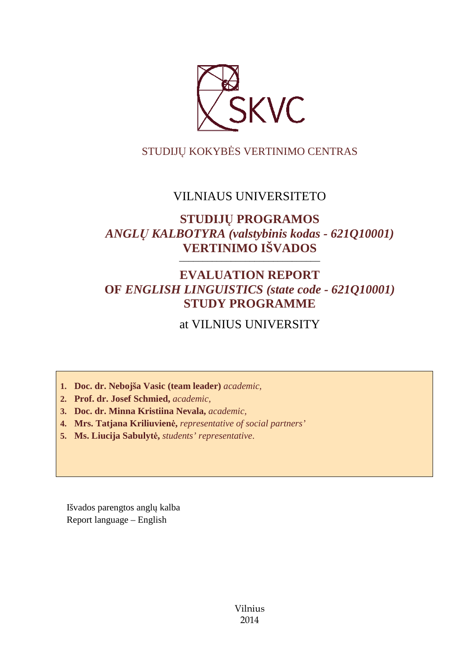

# STUDIJŲ KOKYBĖS VERTINIMO CENTRAS

# VILNIAUS UNIVERSITETO

# **STUDIJŲ PROGRAMOS**  *ANGLŲ KALBOTYRA (valstybinis kodas - 621Q10001)*  **VERTINIMO IŠVADOS**

# **EVALUATION REPORT OF** *ENGLISH LINGUISTICS (state code - 621Q10001)* **STUDY PROGRAMME**

––––––––––––––––––––––––––––––

# at VILNIUS UNIVERSITY

**1. Doc. dr. Nebojša Vasic (team leader)** *academic,*

**2. Prof. dr. Josef Schmied,** *academic,*

**3. Doc. dr. Minna Kristiina Nevala,** *academic,*

**4. Mrs. Tatjana Kriliuvienė,** *representative of social partners'*

**5. Ms. Liucija Sabulytė,** *students' representative*.

Išvados parengtos anglų kalba Report language – English

> Vilnius 2014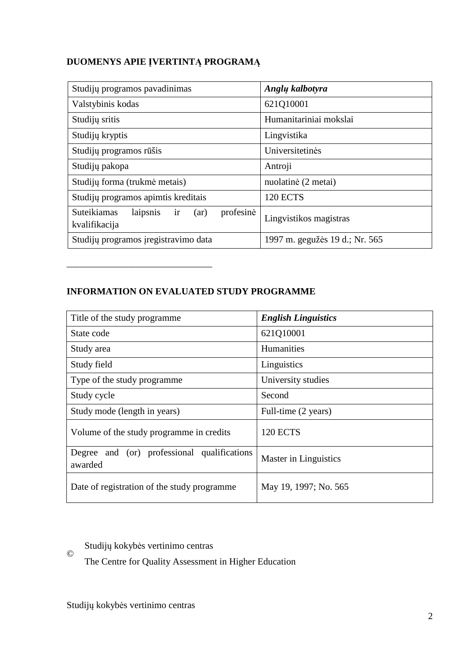# **DUOMENYS APIE ĮVERTINTĄ PROGRAMĄ**

| Studijų programos pavadinimas                                       | Anglų kalbotyra                |
|---------------------------------------------------------------------|--------------------------------|
| Valstybinis kodas                                                   | 621Q10001                      |
| Studijų sritis                                                      | Humanitariniai mokslai         |
| Studijų kryptis                                                     | Lingvistika                    |
| Studijų programos rūšis                                             | Universitetinės                |
| Studijų pakopa                                                      | Antroji                        |
| Studijų forma (trukmė metais)                                       | nuolatinė (2 metai)            |
| Studijų programos apimtis kreditais                                 | <b>120 ECTS</b>                |
| profesinė<br>Suteikiamas<br>laipsnis<br>ir<br>(ar)<br>kvalifikacija | Lingvistikos magistras         |
| Studijų programos įregistravimo data                                | 1997 m. gegužės 19 d.; Nr. 565 |

# **INFORMATION ON EVALUATED STUDY PROGRAMME**

–––––––––––––––––––––––––––––––

| Title of the study programme                           | <b>English Linguistics</b> |
|--------------------------------------------------------|----------------------------|
| State code                                             | 621Q10001                  |
| Study area                                             | <b>Humanities</b>          |
| Study field                                            | Linguistics                |
| Type of the study programme                            | University studies         |
| Study cycle                                            | Second                     |
| Study mode (length in years)                           | Full-time (2 years)        |
| Volume of the study programme in credits               | <b>120 ECTS</b>            |
| Degree and (or) professional qualifications<br>awarded | Master in Linguistics      |
| Date of registration of the study programme            | May 19, 1997; No. 565      |

# Studijų kokybės vertinimo centras

The Centre for Quality Assessment in Higher Education

©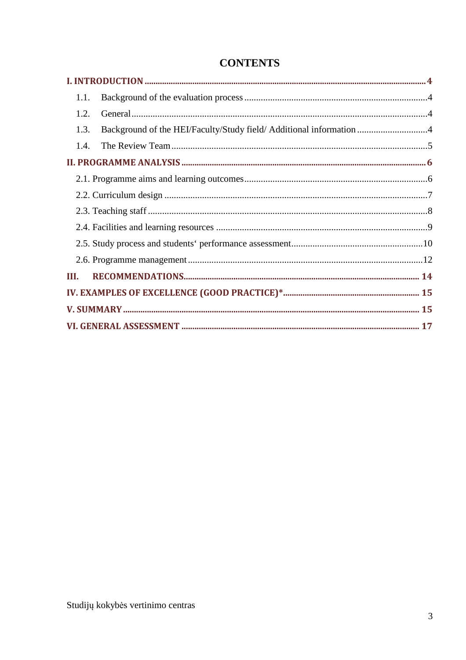| 1.1.                                                                        |  |
|-----------------------------------------------------------------------------|--|
| 1.2.                                                                        |  |
| Background of the HEI/Faculty/Study field/ Additional information 4<br>1.3. |  |
| 1.4.                                                                        |  |
|                                                                             |  |
|                                                                             |  |
|                                                                             |  |
|                                                                             |  |
|                                                                             |  |
|                                                                             |  |
|                                                                             |  |
| III.                                                                        |  |
|                                                                             |  |
|                                                                             |  |
|                                                                             |  |

# **CONTENTS**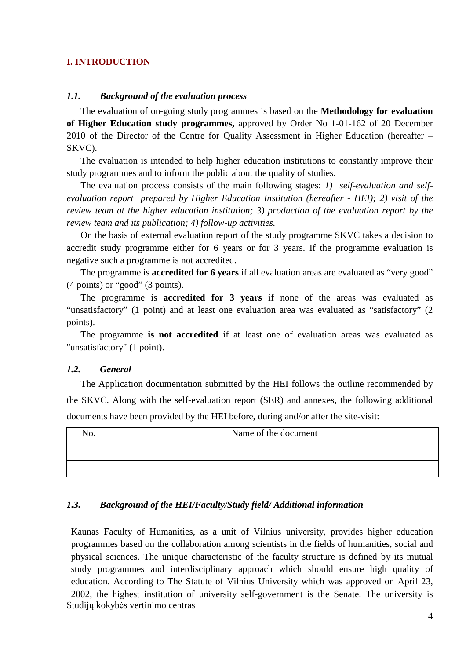# **I. INTRODUCTION**

## *1.1. Background of the evaluation process*

The evaluation of on-going study programmes is based on the **Methodology for evaluation of Higher Education study programmes,** approved by Order No 1-01-162 of 20 December 2010 of the Director of the Centre for Quality Assessment in Higher Education (hereafter – SKVC).

The evaluation is intended to help higher education institutions to constantly improve their study programmes and to inform the public about the quality of studies.

The evaluation process consists of the main following stages: *1) self-evaluation and selfevaluation report prepared by Higher Education Institution (hereafter - HEI); 2) visit of the review team at the higher education institution; 3) production of the evaluation report by the review team and its publication; 4) follow-up activities.* 

On the basis of external evaluation report of the study programme SKVC takes a decision to accredit study programme either for 6 years or for 3 years. If the programme evaluation is negative such a programme is not accredited.

The programme is **accredited for 6 years** if all evaluation areas are evaluated as "very good" (4 points) or "good" (3 points).

The programme is **accredited for 3 years** if none of the areas was evaluated as "unsatisfactory" (1 point) and at least one evaluation area was evaluated as "satisfactory" (2 points).

The programme **is not accredited** if at least one of evaluation areas was evaluated as "unsatisfactory" (1 point).

# *1.2. General*

The Application documentation submitted by the HEI follows the outline recommended by the SKVC. Along with the self-evaluation report (SER) and annexes, the following additional documents have been provided by the HEI before, during and/or after the site-visit:

| $\mathbf{\tau}$<br>NO. | Name of the document |
|------------------------|----------------------|
|                        |                      |
|                        |                      |

# *1.3. Background of the HEI/Faculty/Study field/ Additional information*

Studijų kokybės vertinimo centras Kaunas Faculty of Humanities, as a unit of Vilnius university, provides higher education programmes based on the collaboration among scientists in the fields of humanities, social and physical sciences. The unique characteristic of the faculty structure is defined by its mutual study programmes and interdisciplinary approach which should ensure high quality of education. According to The Statute of Vilnius University which was approved on April 23, 2002, the highest institution of university self-government is the Senate. The university is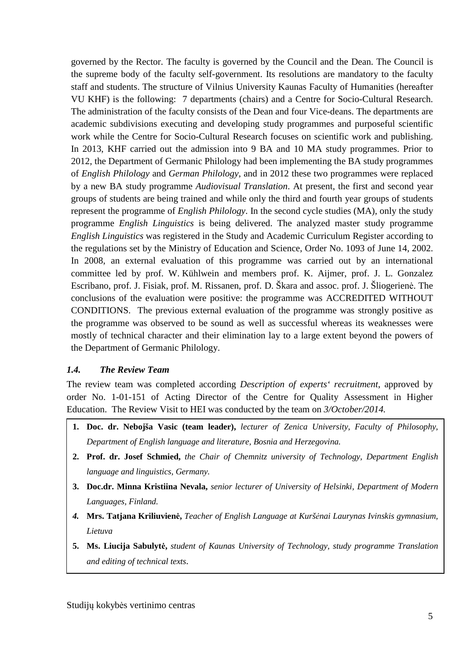governed by the Rector. The faculty is governed by the Council and the Dean. The Council is the supreme body of the faculty self-government. Its resolutions are mandatory to the faculty staff and students. The structure of Vilnius University Kaunas Faculty of Humanities (hereafter VU KHF) is the following: 7 departments (chairs) and a Centre for Socio-Cultural Research. The administration of the faculty consists of the Dean and four Vice-deans. The departments are academic subdivisions executing and developing study programmes and purposeful scientific work while the Centre for Socio-Cultural Research focuses on scientific work and publishing. In 2013, KHF carried out the admission into 9 BA and 10 MA study programmes. Prior to 2012, the Department of Germanic Philology had been implementing the BA study programmes of *English Philology* and *German Philology*, and in 2012 these two programmes were replaced by a new BA study programme *Audiovisual Translation*. At present, the first and second year groups of students are being trained and while only the third and fourth year groups of students represent the programme of *English Philology*. In the second cycle studies (MA), only the study programme *English Linguistics* is being delivered. The analyzed master study programme *English Linguistics* was registered in the Study and Academic Curriculum Register according to the regulations set by the Ministry of Education and Science, Order No. 1093 of June 14, 2002. In 2008, an external evaluation of this programme was carried out by an international committee led by prof. W. Kühlwein and members prof. K. Aijmer, prof. J. L. Gonzalez Escribano, prof. J. Fisiak, prof. M. Rissanen, prof. D. Škara and assoc. prof. J. Šliogerienė. The conclusions of the evaluation were positive: the programme was ACCREDITED WITHOUT CONDITIONS. The previous external evaluation of the programme was strongly positive as the programme was observed to be sound as well as successful whereas its weaknesses were mostly of technical character and their elimination lay to a large extent beyond the powers of the Department of Germanic Philology.

# *1.4. The Review Team*

The review team was completed according *Description of experts' recruitment*, approved by order No. 1-01-151 of Acting Director of the Centre for Quality Assessment in Higher Education. The Review Visit to HEI was conducted by the team on *3/October/2014.* 

- **1. Doc. dr. Nebojša Vasic (team leader),** *lecturer of Zenica University, Faculty of Philosophy, Department of English language and literature, Bosnia and Herzegovina.*
- **2. Prof. dr. Josef Schmied,** *the Chair of Chemnitz university of Technology, Department English language and linguistics, Germany.*
- **3. Doc.dr. Minna Kristiina Nevala,** *senior lecturer of University of Helsinki, Department of Modern Languages, Finland.*
- *4.* **Mrs. Tatjana Kriliuvienė,** *Teacher of English Language at Kuršėnai Laurynas Ivinskis gymnasium, Lietuva*
- **5. Ms. Liucija Sabulytė,** *student of Kaunas University of Technology, study programme Translation and editing of technical texts*.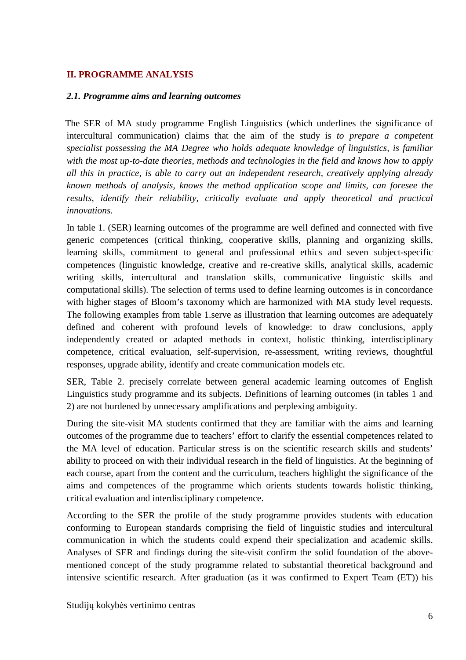# **II. PROGRAMME ANALYSIS**

#### *2.1. Programme aims and learning outcomes*

The SER of MA study programme English Linguistics (which underlines the significance of intercultural communication) claims that the aim of the study is *to prepare a competent specialist possessing the MA Degree who holds adequate knowledge of linguistics, is familiar with the most up-to-date theories, methods and technologies in the field and knows how to apply all this in practice, is able to carry out an independent research, creatively applying already known methods of analysis, knows the method application scope and limits, can foresee the results, identify their reliability, critically evaluate and apply theoretical and practical innovations.* 

In table 1. (SER) learning outcomes of the programme are well defined and connected with five generic competences (critical thinking, cooperative skills, planning and organizing skills, learning skills, commitment to general and professional ethics and seven subject-specific competences (linguistic knowledge, creative and re-creative skills, analytical skills, academic writing skills, intercultural and translation skills, communicative linguistic skills and computational skills). The selection of terms used to define learning outcomes is in concordance with higher stages of Bloom's taxonomy which are harmonized with MA study level requests. The following examples from table 1.serve as illustration that learning outcomes are adequately defined and coherent with profound levels of knowledge: to draw conclusions, apply independently created or adapted methods in context, holistic thinking, interdisciplinary competence, critical evaluation, self-supervision, re-assessment, writing reviews, thoughtful responses, upgrade ability, identify and create communication models etc.

SER, Table 2. precisely correlate between general academic learning outcomes of English Linguistics study programme and its subjects. Definitions of learning outcomes (in tables 1 and 2) are not burdened by unnecessary amplifications and perplexing ambiguity.

During the site-visit MA students confirmed that they are familiar with the aims and learning outcomes of the programme due to teachers' effort to clarify the essential competences related to the MA level of education. Particular stress is on the scientific research skills and students' ability to proceed on with their individual research in the field of linguistics. At the beginning of each course, apart from the content and the curriculum, teachers highlight the significance of the aims and competences of the programme which orients students towards holistic thinking, critical evaluation and interdisciplinary competence.

According to the SER the profile of the study programme provides students with education conforming to European standards comprising the field of linguistic studies and intercultural communication in which the students could expend their specialization and academic skills. Analyses of SER and findings during the site-visit confirm the solid foundation of the abovementioned concept of the study programme related to substantial theoretical background and intensive scientific research. After graduation (as it was confirmed to Expert Team (ET)) his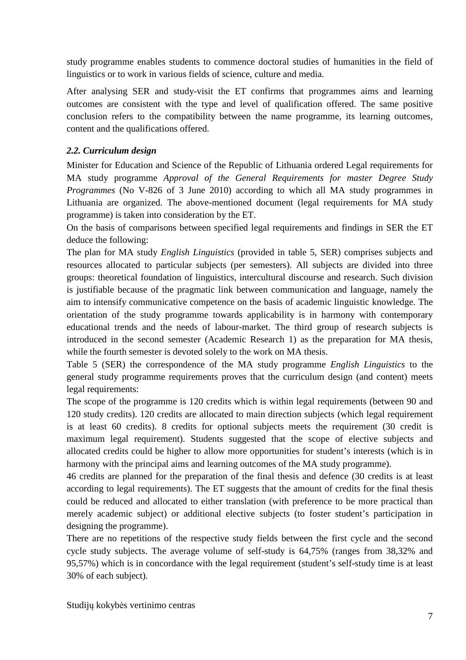study programme enables students to commence doctoral studies of humanities in the field of linguistics or to work in various fields of science, culture and media.

After analysing SER and study-visit the ET confirms that programmes aims and learning outcomes are consistent with the type and level of qualification offered. The same positive conclusion refers to the compatibility between the name programme, its learning outcomes, content and the qualifications offered.

# *2.2. Curriculum design*

Minister for Education and Science of the Republic of Lithuania ordered Legal requirements for MA study programme *Approval of the General Requirements for master Degree Study Programmes* (No V-826 of 3 June 2010) according to which all MA study programmes in Lithuania are organized. The above-mentioned document (legal requirements for MA study programme) is taken into consideration by the ET.

On the basis of comparisons between specified legal requirements and findings in SER the ET deduce the following:

The plan for MA study *English Linguistics* (provided in table 5, SER) comprises subjects and resources allocated to particular subjects (per semesters). All subjects are divided into three groups: theoretical foundation of linguistics, intercultural discourse and research. Such division is justifiable because of the pragmatic link between communication and language, namely the aim to intensify communicative competence on the basis of academic linguistic knowledge. The orientation of the study programme towards applicability is in harmony with contemporary educational trends and the needs of labour-market. The third group of research subjects is introduced in the second semester (Academic Research 1) as the preparation for MA thesis, while the fourth semester is devoted solely to the work on MA thesis.

Table 5 (SER) the correspondence of the MA study programme *English Linguistics* to the general study programme requirements proves that the curriculum design (and content) meets legal requirements:

The scope of the programme is 120 credits which is within legal requirements (between 90 and 120 study credits). 120 credits are allocated to main direction subjects (which legal requirement is at least 60 credits). 8 credits for optional subjects meets the requirement (30 credit is maximum legal requirement). Students suggested that the scope of elective subjects and allocated credits could be higher to allow more opportunities for student's interests (which is in harmony with the principal aims and learning outcomes of the MA study programme).

46 credits are planned for the preparation of the final thesis and defence (30 credits is at least according to legal requirements). The ET suggests that the amount of credits for the final thesis could be reduced and allocated to either translation (with preference to be more practical than merely academic subject) or additional elective subjects (to foster student's participation in designing the programme).

There are no repetitions of the respective study fields between the first cycle and the second cycle study subjects. The average volume of self-study is 64,75% (ranges from 38,32% and 95,57%) which is in concordance with the legal requirement (student's self-study time is at least 30% of each subject).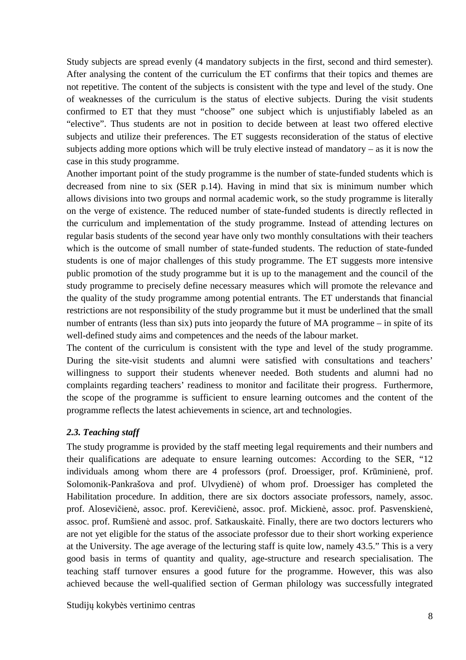Study subjects are spread evenly (4 mandatory subjects in the first, second and third semester). After analysing the content of the curriculum the ET confirms that their topics and themes are not repetitive. The content of the subjects is consistent with the type and level of the study. One of weaknesses of the curriculum is the status of elective subjects. During the visit students confirmed to ET that they must "choose" one subject which is unjustifiably labeled as an "elective". Thus students are not in position to decide between at least two offered elective subjects and utilize their preferences. The ET suggests reconsideration of the status of elective subjects adding more options which will be truly elective instead of mandatory – as it is now the case in this study programme.

Another important point of the study programme is the number of state-funded students which is decreased from nine to six (SER p.14). Having in mind that six is minimum number which allows divisions into two groups and normal academic work, so the study programme is literally on the verge of existence. The reduced number of state-funded students is directly reflected in the curriculum and implementation of the study programme. Instead of attending lectures on regular basis students of the second year have only two monthly consultations with their teachers which is the outcome of small number of state-funded students. The reduction of state-funded students is one of major challenges of this study programme. The ET suggests more intensive public promotion of the study programme but it is up to the management and the council of the study programme to precisely define necessary measures which will promote the relevance and the quality of the study programme among potential entrants. The ET understands that financial restrictions are not responsibility of the study programme but it must be underlined that the small number of entrants (less than six) puts into jeopardy the future of MA programme – in spite of its well-defined study aims and competences and the needs of the labour market.

The content of the curriculum is consistent with the type and level of the study programme. During the site-visit students and alumni were satisfied with consultations and teachers' willingness to support their students whenever needed. Both students and alumni had no complaints regarding teachers' readiness to monitor and facilitate their progress. Furthermore, the scope of the programme is sufficient to ensure learning outcomes and the content of the programme reflects the latest achievements in science, art and technologies.

# *2.3. Teaching staff*

The study programme is provided by the staff meeting legal requirements and their numbers and their qualifications are adequate to ensure learning outcomes: According to the SER, "12 individuals among whom there are 4 professors (prof. Droessiger, prof. Krūminienė, prof. Solomonik-Pankrašova and prof. Ulvydienė) of whom prof. Droessiger has completed the Habilitation procedure. In addition, there are six doctors associate professors, namely, assoc. prof. Alosevičienė, assoc. prof. Kerevičienė, assoc. prof. Mickienė, assoc. prof. Pasvenskienė, assoc. prof. Rumšienė and assoc. prof. Satkauskaitė. Finally, there are two doctors lecturers who are not yet eligible for the status of the associate professor due to their short working experience at the University. The age average of the lecturing staff is quite low, namely 43.5." This is a very good basis in terms of quantity and quality, age-structure and research specialisation. The teaching staff turnover ensures a good future for the programme. However, this was also achieved because the well-qualified section of German philology was successfully integrated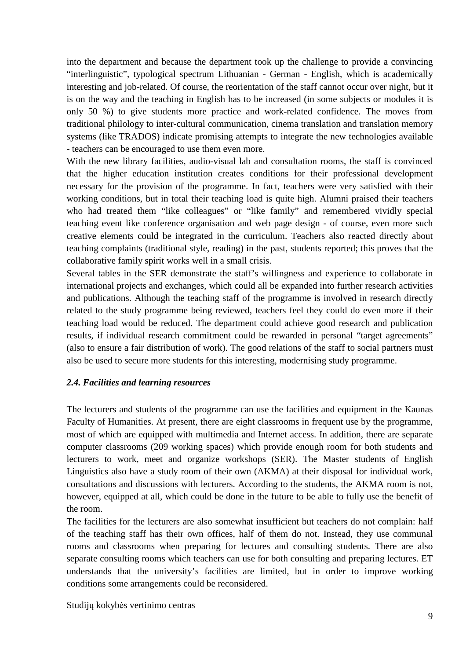into the department and because the department took up the challenge to provide a convincing "interlinguistic", typological spectrum Lithuanian - German - English, which is academically interesting and job-related. Of course, the reorientation of the staff cannot occur over night, but it is on the way and the teaching in English has to be increased (in some subjects or modules it is only 50 %) to give students more practice and work-related confidence. The moves from traditional philology to inter-cultural communication, cinema translation and translation memory systems (like TRADOS) indicate promising attempts to integrate the new technologies available - teachers can be encouraged to use them even more.

With the new library facilities, audio-visual lab and consultation rooms, the staff is convinced that the higher education institution creates conditions for their professional development necessary for the provision of the programme. In fact, teachers were very satisfied with their working conditions, but in total their teaching load is quite high. Alumni praised their teachers who had treated them "like colleagues" or "like family" and remembered vividly special teaching event like conference organisation and web page design - of course, even more such creative elements could be integrated in the curriculum. Teachers also reacted directly about teaching complaints (traditional style, reading) in the past, students reported; this proves that the collaborative family spirit works well in a small crisis.

Several tables in the SER demonstrate the staff's willingness and experience to collaborate in international projects and exchanges, which could all be expanded into further research activities and publications. Although the teaching staff of the programme is involved in research directly related to the study programme being reviewed, teachers feel they could do even more if their teaching load would be reduced. The department could achieve good research and publication results, if individual research commitment could be rewarded in personal "target agreements" (also to ensure a fair distribution of work). The good relations of the staff to social partners must also be used to secure more students for this interesting, modernising study programme.

#### *2.4. Facilities and learning resources*

The lecturers and students of the programme can use the facilities and equipment in the Kaunas Faculty of Humanities. At present, there are eight classrooms in frequent use by the programme, most of which are equipped with multimedia and Internet access. In addition, there are separate computer classrooms (209 working spaces) which provide enough room for both students and lecturers to work, meet and organize workshops (SER). The Master students of English Linguistics also have a study room of their own (AKMA) at their disposal for individual work, consultations and discussions with lecturers. According to the students, the AKMA room is not, however, equipped at all, which could be done in the future to be able to fully use the benefit of the room.

The facilities for the lecturers are also somewhat insufficient but teachers do not complain: half of the teaching staff has their own offices, half of them do not. Instead, they use communal rooms and classrooms when preparing for lectures and consulting students. There are also separate consulting rooms which teachers can use for both consulting and preparing lectures. ET understands that the university's facilities are limited, but in order to improve working conditions some arrangements could be reconsidered.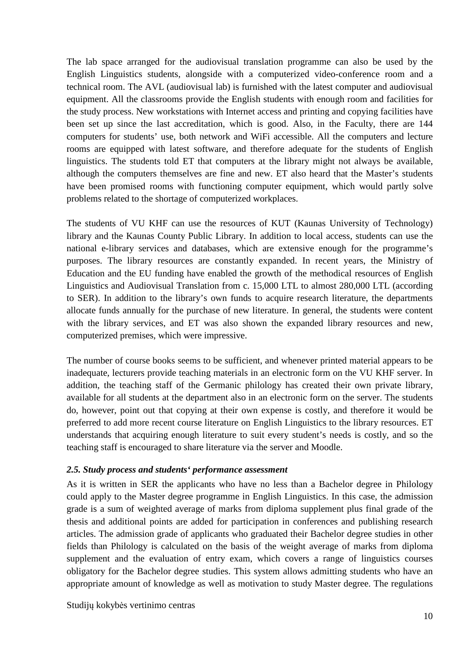The lab space arranged for the audiovisual translation programme can also be used by the English Linguistics students, alongside with a computerized video-conference room and a technical room. The AVL (audiovisual lab) is furnished with the latest computer and audiovisual equipment. All the classrooms provide the English students with enough room and facilities for the study process. New workstations with Internet access and printing and copying facilities have been set up since the last accreditation, which is good. Also, in the Faculty, there are 144 computers for students' use, both network and WiFi accessible. All the computers and lecture rooms are equipped with latest software, and therefore adequate for the students of English linguistics. The students told ET that computers at the library might not always be available, although the computers themselves are fine and new. ET also heard that the Master's students have been promised rooms with functioning computer equipment, which would partly solve problems related to the shortage of computerized workplaces.

The students of VU KHF can use the resources of KUT (Kaunas University of Technology) library and the Kaunas County Public Library. In addition to local access, students can use the national e-library services and databases, which are extensive enough for the programme's purposes. The library resources are constantly expanded. In recent years, the Ministry of Education and the EU funding have enabled the growth of the methodical resources of English Linguistics and Audiovisual Translation from c. 15,000 LTL to almost 280,000 LTL (according to SER). In addition to the library's own funds to acquire research literature, the departments allocate funds annually for the purchase of new literature. In general, the students were content with the library services, and ET was also shown the expanded library resources and new, computerized premises, which were impressive.

The number of course books seems to be sufficient, and whenever printed material appears to be inadequate, lecturers provide teaching materials in an electronic form on the VU KHF server. In addition, the teaching staff of the Germanic philology has created their own private library, available for all students at the department also in an electronic form on the server. The students do, however, point out that copying at their own expense is costly, and therefore it would be preferred to add more recent course literature on English Linguistics to the library resources. ET understands that acquiring enough literature to suit every student's needs is costly, and so the teaching staff is encouraged to share literature via the server and Moodle.

# *2.5. Study process and students' performance assessment*

As it is written in SER the applicants who have no less than a Bachelor degree in Philology could apply to the Master degree programme in English Linguistics. In this case, the admission grade is a sum of weighted average of marks from diploma supplement plus final grade of the thesis and additional points are added for participation in conferences and publishing research articles. The admission grade of applicants who graduated their Bachelor degree studies in other fields than Philology is calculated on the basis of the weight average of marks from diploma supplement and the evaluation of entry exam, which covers a range of linguistics courses obligatory for the Bachelor degree studies. This system allows admitting students who have an appropriate amount of knowledge as well as motivation to study Master degree. The regulations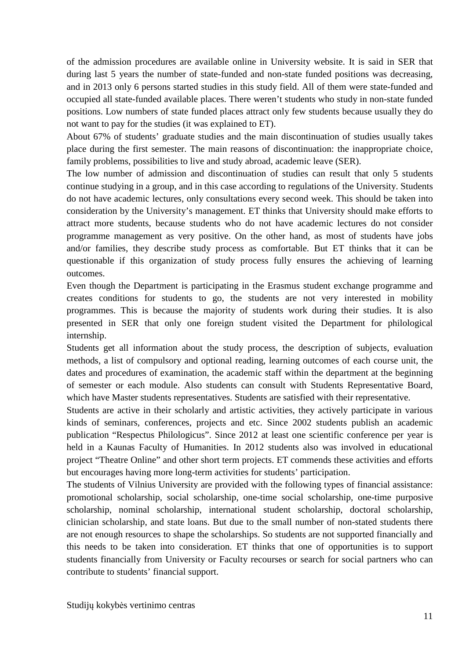of the admission procedures are available online in University website. It is said in SER that during last 5 years the number of state-funded and non-state funded positions was decreasing, and in 2013 only 6 persons started studies in this study field. All of them were state-funded and occupied all state-funded available places. There weren't students who study in non-state funded positions. Low numbers of state funded places attract only few students because usually they do not want to pay for the studies (it was explained to ET).

About 67% of students' graduate studies and the main discontinuation of studies usually takes place during the first semester. The main reasons of discontinuation: the inappropriate choice, family problems, possibilities to live and study abroad, academic leave (SER).

The low number of admission and discontinuation of studies can result that only 5 students continue studying in a group, and in this case according to regulations of the University. Students do not have academic lectures, only consultations every second week. This should be taken into consideration by the University's management. ET thinks that University should make efforts to attract more students, because students who do not have academic lectures do not consider programme management as very positive. On the other hand, as most of students have jobs and/or families, they describe study process as comfortable. But ET thinks that it can be questionable if this organization of study process fully ensures the achieving of learning outcomes.

Even though the Department is participating in the Erasmus student exchange programme and creates conditions for students to go, the students are not very interested in mobility programmes. This is because the majority of students work during their studies. It is also presented in SER that only one foreign student visited the Department for philological internship.

Students get all information about the study process, the description of subjects, evaluation methods, a list of compulsory and optional reading, learning outcomes of each course unit, the dates and procedures of examination, the academic staff within the department at the beginning of semester or each module. Also students can consult with Students Representative Board, which have Master students representatives. Students are satisfied with their representative.

Students are active in their scholarly and artistic activities, they actively participate in various kinds of seminars, conferences, projects and etc. Since 2002 students publish an academic publication "Respectus Philologicus". Since 2012 at least one scientific conference per year is held in a Kaunas Faculty of Humanities. In 2012 students also was involved in educational project "Theatre Online" and other short term projects. ET commends these activities and efforts but encourages having more long-term activities for students' participation.

The students of Vilnius University are provided with the following types of financial assistance: promotional scholarship, social scholarship, one-time social scholarship, one-time purposive scholarship, nominal scholarship, international student scholarship, doctoral scholarship, clinician scholarship, and state loans. But due to the small number of non-stated students there are not enough resources to shape the scholarships. So students are not supported financially and this needs to be taken into consideration. ET thinks that one of opportunities is to support students financially from University or Faculty recourses or search for social partners who can contribute to students' financial support.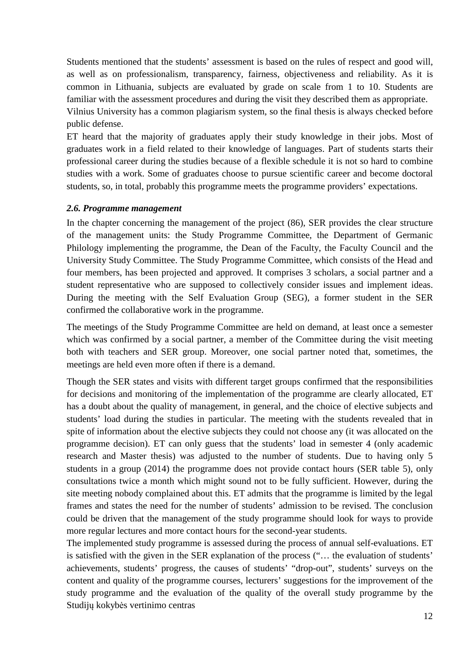Students mentioned that the students' assessment is based on the rules of respect and good will, as well as on professionalism, transparency, fairness, objectiveness and reliability. As it is common in Lithuania, subjects are evaluated by grade on scale from 1 to 10. Students are familiar with the assessment procedures and during the visit they described them as appropriate. Vilnius University has a common plagiarism system, so the final thesis is always checked before

public defense.

ET heard that the majority of graduates apply their study knowledge in their jobs. Most of graduates work in a field related to their knowledge of languages. Part of students starts their professional career during the studies because of a flexible schedule it is not so hard to combine studies with a work. Some of graduates choose to pursue scientific career and become doctoral students, so, in total, probably this programme meets the programme providers' expectations.

#### *2.6. Programme management*

In the chapter concerning the management of the project (86), SER provides the clear structure of the management units: the Study Programme Committee, the Department of Germanic Philology implementing the programme, the Dean of the Faculty, the Faculty Council and the University Study Committee. The Study Programme Committee, which consists of the Head and four members, has been projected and approved. It comprises 3 scholars, a social partner and a student representative who are supposed to collectively consider issues and implement ideas. During the meeting with the Self Evaluation Group (SEG), a former student in the SER confirmed the collaborative work in the programme.

The meetings of the Study Programme Committee are held on demand, at least once a semester which was confirmed by a social partner, a member of the Committee during the visit meeting both with teachers and SER group. Moreover, one social partner noted that, sometimes, the meetings are held even more often if there is a demand.

Though the SER states and visits with different target groups confirmed that the responsibilities for decisions and monitoring of the implementation of the programme are clearly allocated*,* ET has a doubt about the quality of management, in general, and the choice of elective subjects and students' load during the studies in particular. The meeting with the students revealed that in spite of information about the elective subjects they could not choose any (it was allocated on the programme decision). ET can only guess that the students' load in semester 4 (only academic research and Master thesis) was adjusted to the number of students. Due to having only 5 students in a group (2014) the programme does not provide contact hours (SER table 5), only consultations twice a month which might sound not to be fully sufficient. However, during the site meeting nobody complained about this. ET admits that the programme is limited by the legal frames and states the need for the number of students' admission to be revised. The conclusion could be driven that the management of the study programme should look for ways to provide more regular lectures and more contact hours for the second-year students.

Studijų kokybės vertinimo centras The implemented study programme is assessed during the process of annual self-evaluations. ET is satisfied with the given in the SER explanation of the process ("… the evaluation of students' achievements, students' progress, the causes of students' "drop-out", students' surveys on the content and quality of the programme courses, lecturers' suggestions for the improvement of the study programme and the evaluation of the quality of the overall study programme by the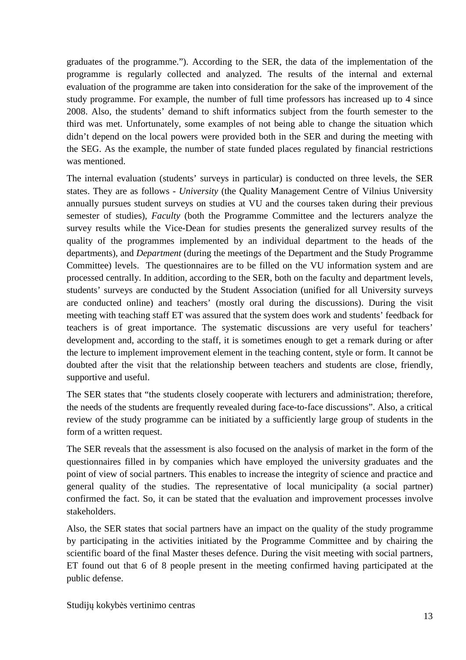graduates of the programme."). According to the SER, the data of the implementation of the programme is regularly collected and analyzed. The results of the internal and external evaluation of the programme are taken into consideration for the sake of the improvement of the study programme. For example, the number of full time professors has increased up to 4 since 2008. Also, the students' demand to shift informatics subject from the fourth semester to the third was met. Unfortunately, some examples of not being able to change the situation which didn't depend on the local powers were provided both in the SER and during the meeting with the SEG. As the example, the number of state funded places regulated by financial restrictions was mentioned.

The internal evaluation (students' surveys in particular) is conducted on three levels, the SER states. They are as follows - *University* (the Quality Management Centre of Vilnius University annually pursues student surveys on studies at VU and the courses taken during their previous semester of studies), *Faculty* (both the Programme Committee and the lecturers analyze the survey results while the Vice-Dean for studies presents the generalized survey results of the quality of the programmes implemented by an individual department to the heads of the departments), and *Department* (during the meetings of the Department and the Study Programme Committee) levels. The questionnaires are to be filled on the VU information system and are processed centrally. In addition, according to the SER, both on the faculty and department levels, students' surveys are conducted by the Student Association (unified for all University surveys are conducted online) and teachers' (mostly oral during the discussions). During the visit meeting with teaching staff ET was assured that the system does work and students' feedback for teachers is of great importance. The systematic discussions are very useful for teachers' development and, according to the staff, it is sometimes enough to get a remark during or after the lecture to implement improvement element in the teaching content, style or form. It cannot be doubted after the visit that the relationship between teachers and students are close, friendly, supportive and useful.

The SER states that "the students closely cooperate with lecturers and administration; therefore, the needs of the students are frequently revealed during face-to-face discussions". Also, a critical review of the study programme can be initiated by a sufficiently large group of students in the form of a written request.

The SER reveals that the assessment is also focused on the analysis of market in the form of the questionnaires filled in by companies which have employed the university graduates and the point of view of social partners. This enables to increase the integrity of science and practice and general quality of the studies. The representative of local municipality (a social partner) confirmed the fact. So, it can be stated that the evaluation and improvement processes involve stakeholders.

Also, the SER states that social partners have an impact on the quality of the study programme by participating in the activities initiated by the Programme Committee and by chairing the scientific board of the final Master theses defence. During the visit meeting with social partners, ET found out that 6 of 8 people present in the meeting confirmed having participated at the public defense.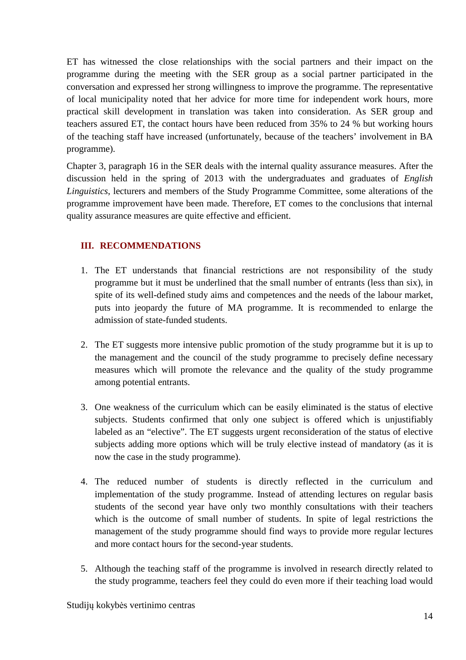ET has witnessed the close relationships with the social partners and their impact on the programme during the meeting with the SER group as a social partner participated in the conversation and expressed her strong willingness to improve the programme. The representative of local municipality noted that her advice for more time for independent work hours, more practical skill development in translation was taken into consideration. As SER group and teachers assured ET, the contact hours have been reduced from 35% to 24 % but working hours of the teaching staff have increased (unfortunately, because of the teachers' involvement in BA programme).

Chapter 3, paragraph 16 in the SER deals with the internal quality assurance measures. After the discussion held in the spring of 2013 with the undergraduates and graduates of *English Linguistics*, lecturers and members of the Study Programme Committee, some alterations of the programme improvement have been made. Therefore, ET comes to the conclusions that internal quality assurance measures are quite effective and efficient.

# **III. RECOMMENDATIONS**

- 1. The ET understands that financial restrictions are not responsibility of the study programme but it must be underlined that the small number of entrants (less than six), in spite of its well-defined study aims and competences and the needs of the labour market, puts into jeopardy the future of MA programme. It is recommended to enlarge the admission of state-funded students.
- 2. The ET suggests more intensive public promotion of the study programme but it is up to the management and the council of the study programme to precisely define necessary measures which will promote the relevance and the quality of the study programme among potential entrants.
- 3. One weakness of the curriculum which can be easily eliminated is the status of elective subjects. Students confirmed that only one subject is offered which is unjustifiably labeled as an "elective". The ET suggests urgent reconsideration of the status of elective subjects adding more options which will be truly elective instead of mandatory (as it is now the case in the study programme).
- 4. The reduced number of students is directly reflected in the curriculum and implementation of the study programme. Instead of attending lectures on regular basis students of the second year have only two monthly consultations with their teachers which is the outcome of small number of students. In spite of legal restrictions the management of the study programme should find ways to provide more regular lectures and more contact hours for the second-year students.
- 5. Although the teaching staff of the programme is involved in research directly related to the study programme, teachers feel they could do even more if their teaching load would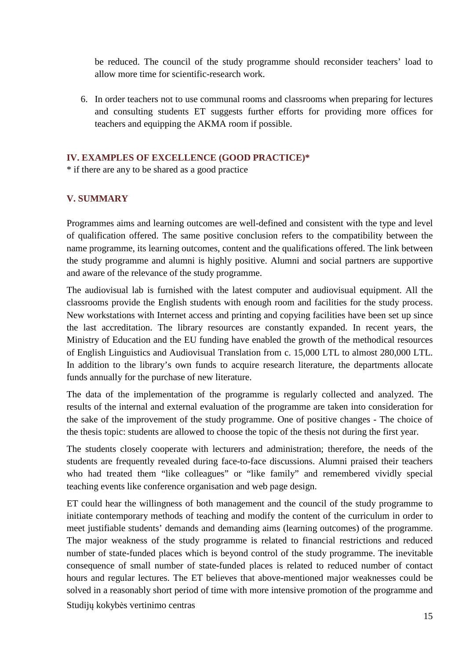be reduced. The council of the study programme should reconsider teachers' load to allow more time for scientific-research work.

6. In order teachers not to use communal rooms and classrooms when preparing for lectures and consulting students ET suggests further efforts for providing more offices for teachers and equipping the AKMA room if possible.

# **IV. EXAMPLES OF EXCELLENCE (GOOD PRACTICE)\***

\* if there are any to be shared as a good practice

# **V. SUMMARY**

Programmes aims and learning outcomes are well-defined and consistent with the type and level of qualification offered. The same positive conclusion refers to the compatibility between the name programme, its learning outcomes, content and the qualifications offered. The link between the study programme and alumni is highly positive. Alumni and social partners are supportive and aware of the relevance of the study programme.

The audiovisual lab is furnished with the latest computer and audiovisual equipment. All the classrooms provide the English students with enough room and facilities for the study process. New workstations with Internet access and printing and copying facilities have been set up since the last accreditation. The library resources are constantly expanded. In recent years, the Ministry of Education and the EU funding have enabled the growth of the methodical resources of English Linguistics and Audiovisual Translation from c. 15,000 LTL to almost 280,000 LTL. In addition to the library's own funds to acquire research literature, the departments allocate funds annually for the purchase of new literature.

The data of the implementation of the programme is regularly collected and analyzed. The results of the internal and external evaluation of the programme are taken into consideration for the sake of the improvement of the study programme. One of positive changes - The choice of the thesis topic: students are allowed to choose the topic of the thesis not during the first year.

The students closely cooperate with lecturers and administration; therefore, the needs of the students are frequently revealed during face-to-face discussions. Alumni praised their teachers who had treated them "like colleagues" or "like family" and remembered vividly special teaching events like conference organisation and web page design.

Studijų kokybės vertinimo centras ET could hear the willingness of both management and the council of the study programme to initiate contemporary methods of teaching and modify the content of the curriculum in order to meet justifiable students' demands and demanding aims (learning outcomes) of the programme. The major weakness of the study programme is related to financial restrictions and reduced number of state-funded places which is beyond control of the study programme. The inevitable consequence of small number of state-funded places is related to reduced number of contact hours and regular lectures. The ET believes that above-mentioned major weaknesses could be solved in a reasonably short period of time with more intensive promotion of the programme and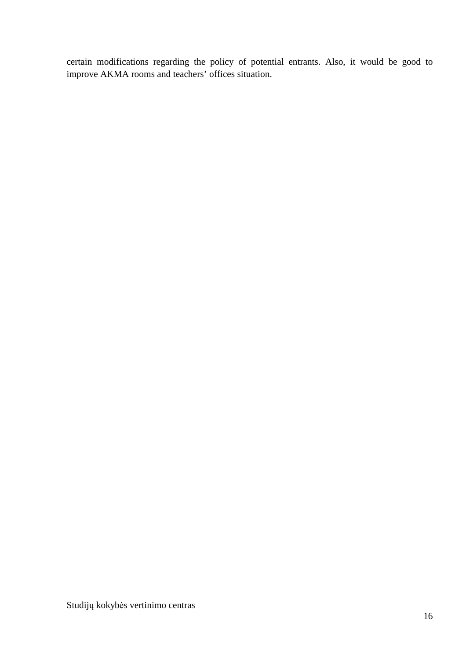certain modifications regarding the policy of potential entrants. Also, it would be good to improve AKMA rooms and teachers' offices situation.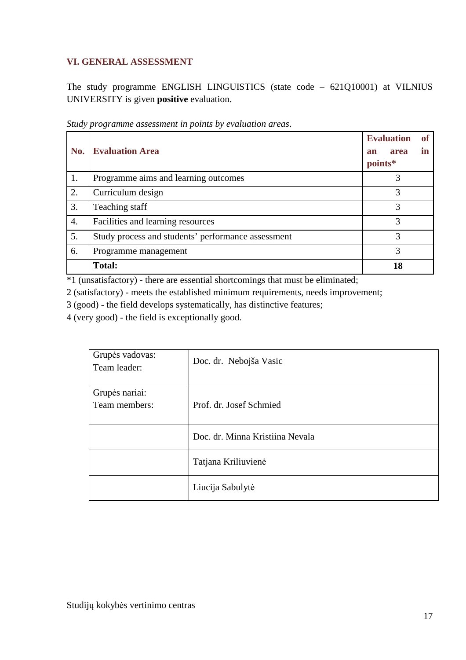# **VI. GENERAL ASSESSMENT**

The study programme ENGLISH LINGUISTICS (state code – 621Q10001) at VILNIUS UNIVERSITY is given **positive** evaluation.

| No. | <b>Evaluation Area</b>                             | <b>Evaluation</b><br><b>of</b><br>in<br>area<br>an<br>points* |
|-----|----------------------------------------------------|---------------------------------------------------------------|
| 1.  | Programme aims and learning outcomes               | 3                                                             |
| 2.  | Curriculum design                                  | 3                                                             |
| 3.  | Teaching staff                                     | 3                                                             |
| 4.  | Facilities and learning resources                  | 3                                                             |
| 5.  | Study process and students' performance assessment | 3                                                             |
| 6.  | Programme management                               | 3                                                             |
|     | <b>Total:</b>                                      | 18                                                            |

*Study programme assessment in points by evaluation areas*.

\*1 (unsatisfactory) - there are essential shortcomings that must be eliminated;

2 (satisfactory) - meets the established minimum requirements, needs improvement;

3 (good) - the field develops systematically, has distinctive features;

4 (very good) - the field is exceptionally good.

| Grupės vadovas:<br>Team leader: | Doc. dr. Nebojša Vasic          |
|---------------------------------|---------------------------------|
| Grupės nariai:<br>Team members: | Prof. dr. Josef Schmied         |
|                                 | Doc. dr. Minna Kristiina Nevala |
|                                 | Tatjana Kriliuvienė             |
|                                 | Liucija Sabulytė                |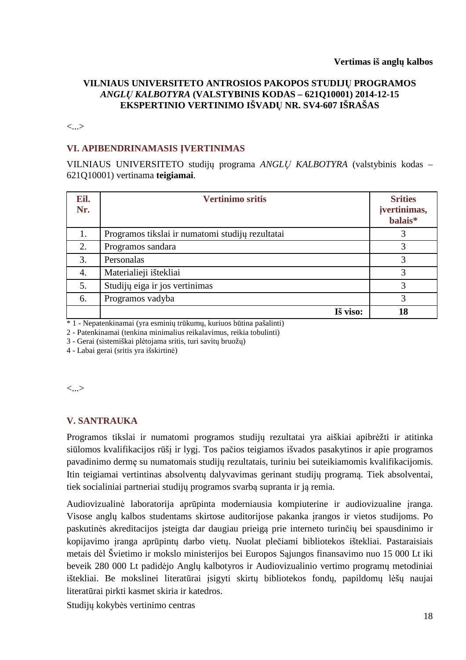## **VILNIAUS UNIVERSITETO ANTROSIOS PAKOPOS STUDIJŲ PROGRAMOS**  *ANGLŲ KALBOTYRA* **(VALSTYBINIS KODAS – 621Q10001) 2014-12-15 EKSPERTINIO VERTINIMO IŠVADŲ NR. SV4-607 IŠRAŠAS**

<...>

## **VI. APIBENDRINAMASIS ĮVERTINIMAS**

VILNIAUS UNIVERSITETO studijų programa *ANGLŲ KALBOTYRA* (valstybinis kodas – 621Q10001) vertinama **teigiamai**.

| Eil.<br>Nr. | <b>Vertinimo sritis</b>                          | <b>Srities</b><br>įvertinimas,<br>balais* |
|-------------|--------------------------------------------------|-------------------------------------------|
| 1.          | Programos tikslai ir numatomi studijų rezultatai |                                           |
| 2.          | Programos sandara                                | 3                                         |
| 3.          | Personalas                                       | 3                                         |
| 4.          | Materialieji ištekliai                           | 3                                         |
| 5.          | Studijų eiga ir jos vertinimas                   | 3                                         |
| 6.          | Programos vadyba                                 | 3                                         |
|             | Iš viso:                                         | 18                                        |

\* 1 - Nepatenkinamai (yra esminių trūkumų, kuriuos būtina pašalinti)

2 - Patenkinamai (tenkina minimalius reikalavimus, reikia tobulinti)

3 - Gerai (sistemiškai plėtojama sritis, turi savitų bruožų)

4 - Labai gerai (sritis yra išskirtinė)

<...>

# **V. SANTRAUKA**

 Programos tikslai ir numatomi programos studijų rezultatai yra aiškiai apibrėžti ir atitinka siūlomos kvalifikacijos rūšį ir lygį. Tos pačios teigiamos išvados pasakytinos ir apie programos pavadinimo dermę su numatomais studijų rezultatais, turiniu bei suteikiamomis kvalifikacijomis. Itin teigiamai vertintinas absolventų dalyvavimas gerinant studijų programą. Tiek absolventai, tiek socialiniai partneriai studijų programos svarbą supranta ir ją remia.

Audiovizualinė laboratorija aprūpinta moderniausia kompiuterine ir audiovizualine įranga. Visose anglų kalbos studentams skirtose auditorijose pakanka įrangos ir vietos studijoms. Po paskutinės akreditacijos įsteigta dar daugiau prieigą prie interneto turinčių bei spausdinimo ir kopijavimo įranga aprūpintų darbo vietų. Nuolat plečiami bibliotekos ištekliai. Pastaraisiais metais dėl Švietimo ir mokslo ministerijos bei Europos Sąjungos finansavimo nuo 15 000 Lt iki beveik 280 000 Lt padidėjo Anglų kalbotyros ir Audiovizualinio vertimo programų metodiniai ištekliai. Be mokslinei literatūrai įsigyti skirtų bibliotekos fondų, papildomų lėšų naujai literatūrai pirkti kasmet skiria ir katedros.

Studijų kokybės vertinimo centras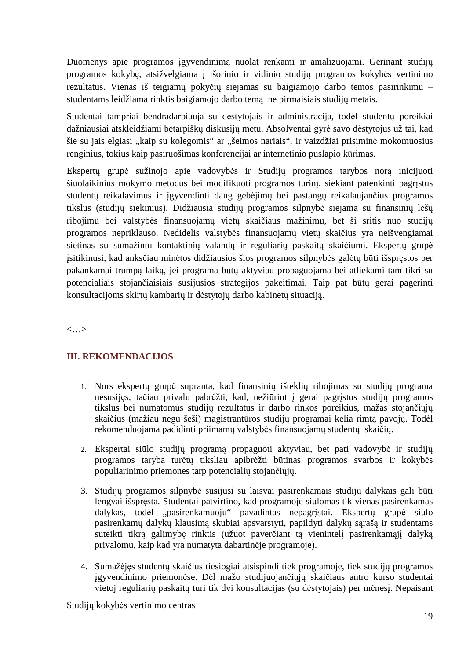Duomenys apie programos įgyvendinimą nuolat renkami ir amalizuojami. Gerinant studijų programos kokybę, atsižvelgiama į išorinio ir vidinio studijų programos kokybės vertinimo rezultatus. Vienas iš teigiamų pokyčių siejamas su baigiamojo darbo temos pasirinkimu – studentams leidžiama rinktis baigiamojo darbo temą ne pirmaisiais studijų metais.

Studentai tampriai bendradarbiauja su dėstytojais ir administracija, todėl studentų poreikiai dažniausiai atskleidžiami betarpiškų diskusijų metu. Absolventai gyrė savo dėstytojus už tai, kad šie su jais elgiasi "kaip su kolegomis" ar "šeimos nariais", ir vaizdžiai prisiminė mokomuosius renginius, tokius kaip pasiruošimas konferencijai ar internetinio puslapio kūrimas.

Ekspertų grupė sužinojo apie vadovybės ir Studijų programos tarybos norą inicijuoti šiuolaikinius mokymo metodus bei modifikuoti programos turinį, siekiant patenkinti pagrįstus studentų reikalavimus ir įgyvendinti daug gebėjimų bei pastangų reikalaujančius programos tikslus (studijų siekinius). Didžiausia studijų programos silpnybė siejama su finansinių lėšų ribojimu bei valstybės finansuojamų vietų skaičiaus mažinimu, bet ši sritis nuo studijų programos nepriklauso. Nedidelis valstybės finansuojamų vietų skaičius yra neišvengiamai sietinas su sumažintu kontaktinių valandų ir reguliarių paskaitų skaičiumi. Ekspertų grupė įsitikinusi, kad anksčiau minėtos didžiausios šios programos silpnybės galėtų būti išspręstos per pakankamai trumpą laiką, jei programa būtų aktyviau propaguojama bei atliekami tam tikri su potencialiais stojančiaisiais susijusios strategijos pakeitimai. Taip pat būtų gerai pagerinti konsultacijoms skirtų kambarių ir dėstytojų darbo kabinetų situaciją.

<…>

# **III. REKOMENDACIJOS**

- 1. Nors ekspertų grupė supranta, kad finansinių išteklių ribojimas su studijų programa nesusijęs, tačiau privalu pabrėžti, kad, nežiūrint į gerai pagrįstus studijų programos tikslus bei numatomus studijų rezultatus ir darbo rinkos poreikius, mažas stojančiųjų skaičius (mažiau negu šeši) magistrantūros studijų programai kelia rimtą pavojų. Todėl rekomenduojama padidinti priimamų valstybės finansuojamų studentų skaičių.
- 2. Ekspertai siūlo studijų programą propaguoti aktyviau, bet pati vadovybė ir studijų programos taryba turėtų tiksliau apibrėžti būtinas programos svarbos ir kokybės populiarinimo priemones tarp potencialių stojančiųjų.
- 3. Studijų programos silpnybė susijusi su laisvai pasirenkamais studijų dalykais gali būti lengvai išspręsta. Studentai patvirtino, kad programoje siūlomas tik vienas pasirenkamas dalykas, todėl "pasirenkamuoju" pavadintas nepagristai. Ekspertų grupė siūlo pasirenkamų dalykų klausimą skubiai apsvarstyti, papildyti dalykų sąrašą ir studentams suteikti tikrą galimybę rinktis (užuot paverčiant tą vienintelį pasirenkamąjį dalyką privalomu, kaip kad yra numatyta dabartinėje programoje).
- 4. Sumažėjęs studentų skaičius tiesiogiai atsispindi tiek programoje, tiek studijų programos įgyvendinimo priemonėse. Dėl mažo studijuojančiųjų skaičiaus antro kurso studentai vietoj reguliarių paskaitų turi tik dvi konsultacijas (su dėstytojais) per mėnesį. Nepaisant